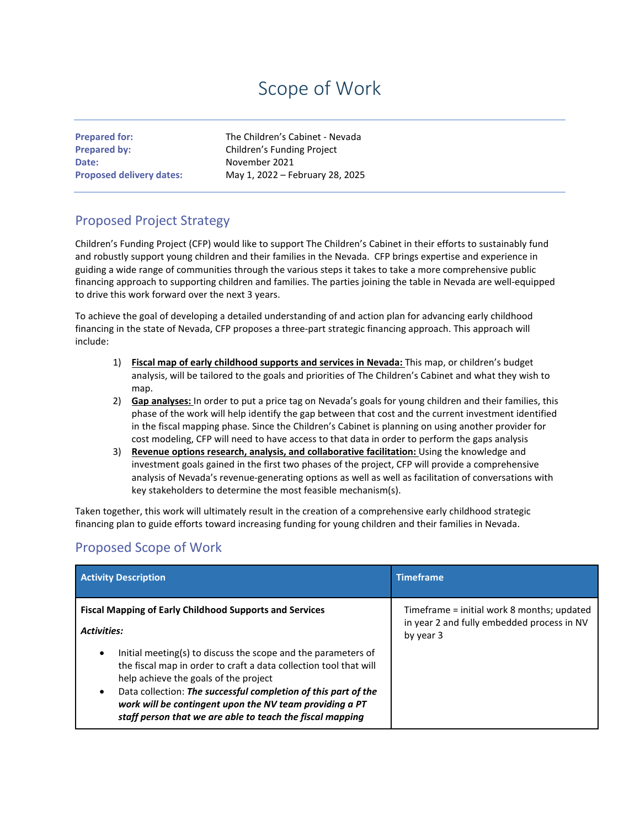## Scope of Work

**Date:** November 2021

**Prepared for:** The Children's Cabinet - Nevada **Prepared by:** Children's Funding Project **Proposed delivery dates:** May 1, 2022 – February 28, 2025

## Proposed Project Strategy

Children's Funding Project (CFP) would like to support The Children's Cabinet in their efforts to sustainably fund and robustly support young children and their families in the Nevada. CFP brings expertise and experience in guiding a wide range of communities through the various steps it takes to take a more comprehensive public financing approach to supporting children and families. The parties joining the table in Nevada are well-equipped to drive this work forward over the next 3 years.

To achieve the goal of developing a detailed understanding of and action plan for advancing early childhood financing in the state of Nevada, CFP proposes a three-part strategic financing approach. This approach will include:

- 1) **Fiscal map of early childhood supports and services in Nevada:** This map, or children's budget analysis, will be tailored to the goals and priorities of The Children's Cabinet and what they wish to man.
- 2) **Gap analyses:** In order to put a price tag on Nevada's goals for young children and their families, this phase of the work will help identify the gap between that cost and the current investment identified in the fiscal mapping phase. Since the Children's Cabinet is planning on using another provider for cost modeling, CFP will need to have access to that data in order to perform the gaps analysis
- 3) **Revenue options research, analysis, and collaborative facilitation:** Using the knowledge and investment goals gained in the first two phases of the project, CFP will provide a comprehensive analysis of Nevada's revenue-generating options as well as well as facilitation of conversations with key stakeholders to determine the most feasible mechanism(s).

Taken together, this work will ultimately result in the creation of a comprehensive early childhood strategic financing plan to guide efforts toward increasing funding for young children and their families in Nevada.

## Proposed Scope of Work

| <b>Activity Description</b>                                                                                                                                                                                                                                                                                                                                                                     | <b>Timeframe</b>                                                                                      |
|-------------------------------------------------------------------------------------------------------------------------------------------------------------------------------------------------------------------------------------------------------------------------------------------------------------------------------------------------------------------------------------------------|-------------------------------------------------------------------------------------------------------|
| <b>Fiscal Mapping of Early Childhood Supports and Services</b><br><b>Activities:</b>                                                                                                                                                                                                                                                                                                            | Timeframe = initial work 8 months; updated<br>in year 2 and fully embedded process in NV<br>by year 3 |
| Initial meeting(s) to discuss the scope and the parameters of<br>$\bullet$<br>the fiscal map in order to craft a data collection tool that will<br>help achieve the goals of the project<br>Data collection: The successful completion of this part of the<br>$\bullet$<br>work will be contingent upon the NV team providing a PT<br>staff person that we are able to teach the fiscal mapping |                                                                                                       |